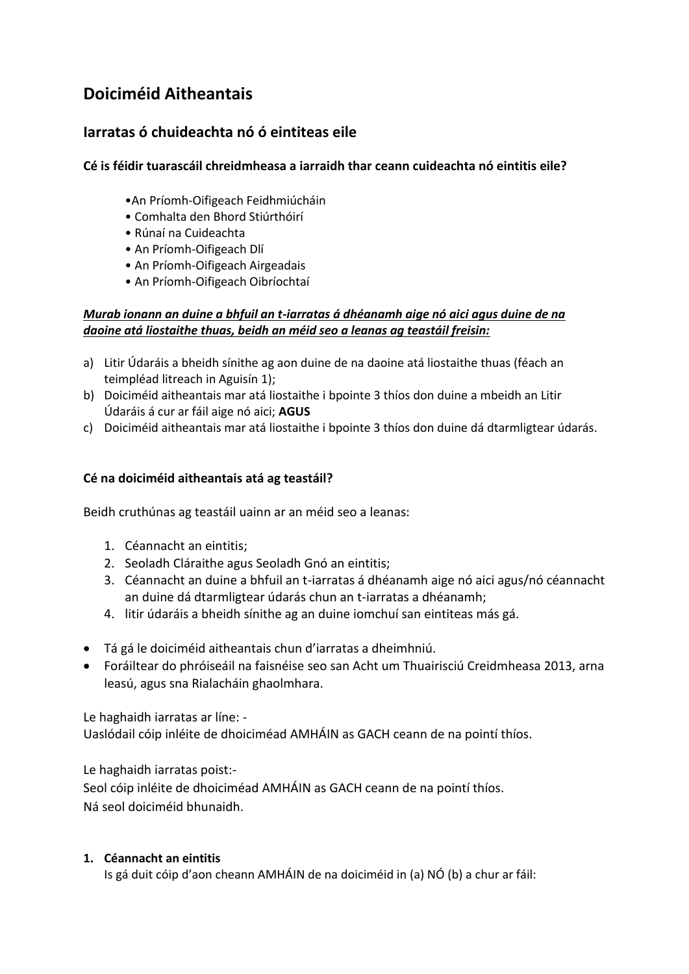# **Doiciméid Aitheantais**

# **Iarratas ó chuideachta nó ó eintiteas eile**

# **Cé is féidir tuarascáil chreidmheasa a iarraidh thar ceann cuideachta nó eintitis eile?**

- •An Príomh-Oifigeach Feidhmiúcháin
- Comhalta den Bhord Stiúrthóirí
- Rúnaí na Cuideachta
- An Príomh-Oifigeach Dlí
- An Príomh-Oifigeach Airgeadais
- An Príomh-Oifigeach Oibríochtaí

# *Murab ionann an duine a bhfuil an t-iarratas á dhéanamh aige nó aici agus duine de na daoine atá liostaithe thuas, beidh an méid seo a leanas ag teastáil freisin:*

- a) Litir Údaráis a bheidh sínithe ag aon duine de na daoine atá liostaithe thuas (féach an teimpléad litreach in Aguisín 1);
- b) Doiciméid aitheantais mar atá liostaithe i bpointe 3 thíos don duine a mbeidh an Litir Údaráis á cur ar fáil aige nó aici; **AGUS**
- c) Doiciméid aitheantais mar atá liostaithe i bpointe 3 thíos don duine dá dtarmligtear údarás.

# **Cé na doiciméid aitheantais atá ag teastáil?**

Beidh cruthúnas ag teastáil uainn ar an méid seo a leanas:

- 1. Céannacht an eintitis;
- 2. Seoladh Cláraithe agus Seoladh Gnó an eintitis;
- 3. Céannacht an duine a bhfuil an t-iarratas á dhéanamh aige nó aici agus/nó céannacht an duine dá dtarmligtear údarás chun an t-iarratas a dhéanamh;
- 4. litir údaráis a bheidh sínithe ag an duine iomchuí san eintiteas más gá.
- Tá gá le doiciméid aitheantais chun d'iarratas a dheimhniú.
- Foráiltear do phróiseáil na faisnéise seo san Acht um Thuairisciú Creidmheasa 2013, arna leasú, agus sna Rialacháin ghaolmhara.

Le haghaidh iarratas ar líne: -

Uaslódail cóip inléite de dhoiciméad AMHÁIN as GACH ceann de na pointí thíos.

Le haghaidh iarratas poist:-

Seol cóip inléite de dhoiciméad AMHÁIN as GACH ceann de na pointí thíos. Ná seol doiciméid bhunaidh.

#### **1. Céannacht an eintitis**

Is gá duit cóip d'aon cheann AMHÁIN de na doiciméid in (a) NÓ (b) a chur ar fáil: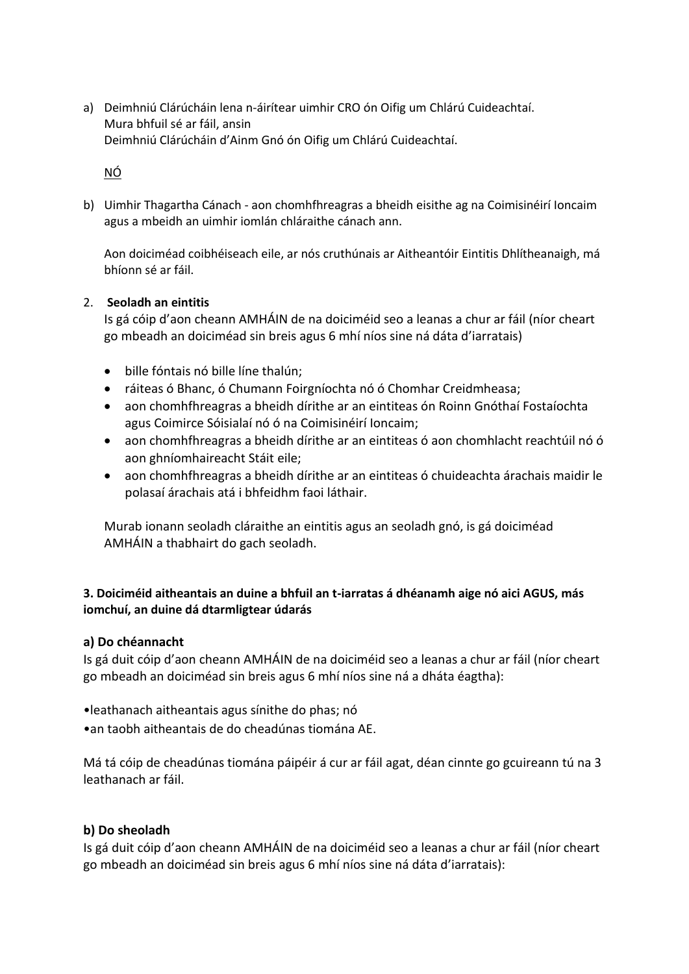a) Deimhniú Clárúcháin lena n-áirítear uimhir CRO ón Oifig um Chlárú Cuideachtaí. Mura bhfuil sé ar fáil, ansin Deimhniú Clárúcháin d'Ainm Gnó ón Oifig um Chlárú Cuideachtaí.

NÓ

b) Uimhir Thagartha Cánach - aon chomhfhreagras a bheidh eisithe ag na Coimisinéirí Ioncaim agus a mbeidh an uimhir iomlán chláraithe cánach ann.

Aon doiciméad coibhéiseach eile, ar nós cruthúnais ar Aitheantóir Eintitis Dhlítheanaigh, má bhíonn sé ar fáil.

#### 2. **Seoladh an eintitis**

Is gá cóip d'aon cheann AMHÁIN de na doiciméid seo a leanas a chur ar fáil (níor cheart go mbeadh an doiciméad sin breis agus 6 mhí níos sine ná dáta d'iarratais)

- bille fóntais nó bille líne thalún;
- ráiteas ó Bhanc, ó Chumann Foirgníochta nó ó Chomhar Creidmheasa;
- aon chomhfhreagras a bheidh dírithe ar an eintiteas ón Roinn Gnóthaí Fostaíochta agus Coimirce Sóisialaí nó ó na Coimisinéirí Ioncaim;
- aon chomhfhreagras a bheidh dírithe ar an eintiteas ó aon chomhlacht reachtúil nó ó aon ghníomhaireacht Stáit eile;
- aon chomhfhreagras a bheidh dírithe ar an eintiteas ó chuideachta árachais maidir le polasaí árachais atá i bhfeidhm faoi láthair.

Murab ionann seoladh cláraithe an eintitis agus an seoladh gnó, is gá doiciméad AMHÁIN a thabhairt do gach seoladh.

# **3. Doiciméid aitheantais an duine a bhfuil an t-iarratas á dhéanamh aige nó aici AGUS, más iomchuí, an duine dá dtarmligtear údarás**

#### **a) Do chéannacht**

Is gá duit cóip d'aon cheann AMHÁIN de na doiciméid seo a leanas a chur ar fáil (níor cheart go mbeadh an doiciméad sin breis agus 6 mhí níos sine ná a dháta éagtha):

•leathanach aitheantais agus sínithe do phas; nó

•an taobh aitheantais de do cheadúnas tiomána AE.

Má tá cóip de cheadúnas tiomána páipéir á cur ar fáil agat, déan cinnte go gcuireann tú na 3 leathanach ar fáil.

#### **b) Do sheoladh**

Is gá duit cóip d'aon cheann AMHÁIN de na doiciméid seo a leanas a chur ar fáil (níor cheart go mbeadh an doiciméad sin breis agus 6 mhí níos sine ná dáta d'iarratais):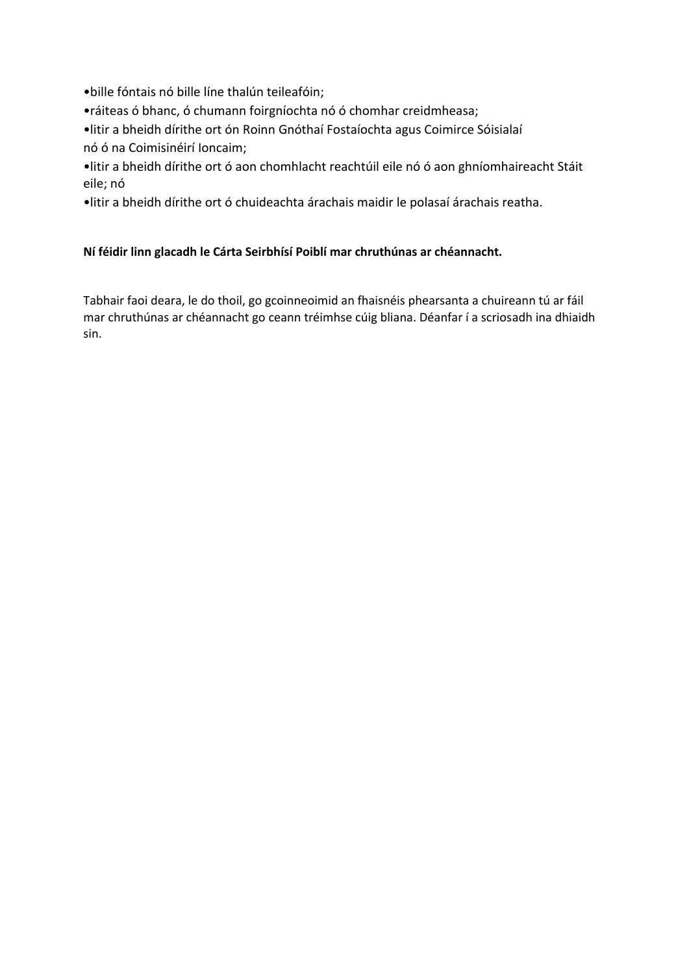•bille fóntais nó bille líne thalún teileafóin;

•ráiteas ó bhanc, ó chumann foirgníochta nó ó chomhar creidmheasa;

•litir a bheidh dírithe ort ón Roinn Gnóthaí Fostaíochta agus Coimirce Sóisialaí nó ó na Coimisinéirí Ioncaim;

•litir a bheidh dírithe ort ó aon chomhlacht reachtúil eile nó ó aon ghníomhaireacht Stáit eile; nó

•litir a bheidh dírithe ort ó chuideachta árachais maidir le polasaí árachais reatha.

# **Ní féidir linn glacadh le Cárta Seirbhísí Poiblí mar chruthúnas ar chéannacht.**

Tabhair faoi deara, le do thoil, go gcoinneoimid an fhaisnéis phearsanta a chuireann tú ar fáil mar chruthúnas ar chéannacht go ceann tréimhse cúig bliana. Déanfar í a scriosadh ina dhiaidh sin.